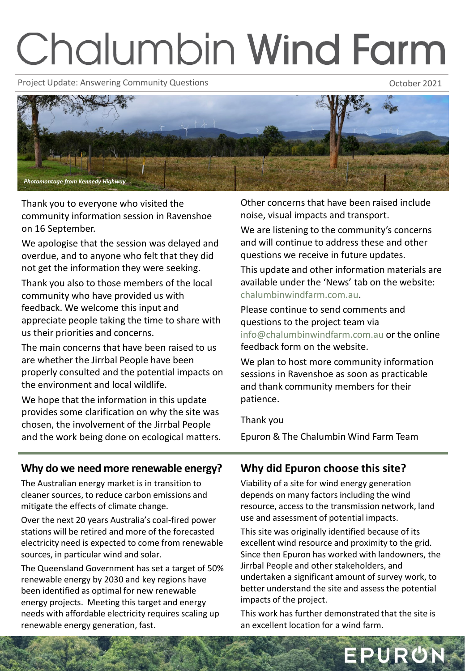# Chalumbin Wind Farm

Project Update: Answering Community Questions **Community Community Community** Constantine Community Community Community Community Community Community Community Community Community Community Community Community Community Co



Thank you to everyone who visited the community information session in Ravenshoe on 16 September.

We apologise that the session was delayed and overdue, and to anyone who felt that they did not get the information they were seeking.

Thank you also to those members of the local community who have provided us with feedback. We welcome this input and appreciate people taking the time to share with us their priorities and concerns.

The main concerns that have been raised to us are whether the Jirrbal People have been properly consulted and the potential impacts on the environment and local wildlife.

We hope that the information in this update provides some clarification on why the site was chosen, the involvement of the Jirrbal People and the work being done on ecological matters. Other concerns that have been raised include noise, visual impacts and transport.

We are listening to the community's concerns and will continue to address these and other questions we receive in future updates.

This update and other information materials are available under the 'News' tab on the website: chalumbinwindfarm.com.au.

Please continue to send comments and questions to the project team via info@chalumbinwindfarm.com.au or the online feedback form on the website.

We plan to host more community information sessions in Ravenshoe as soon as practicable and thank community members for their patience.

#### Thank you

Epuron & The Chalumbin Wind Farm Team

#### **Why do we need more renewable energy?**

The Australian energy market is in transition to cleaner sources, to reduce carbon emissions and mitigate the effects of climate change.

Over the next 20 years Australia's coal-fired power stations will be retired and more of the forecasted electricity need is expected to come from renewable sources, in particular wind and solar.

The Queensland Government has set a target of 50% renewable energy by 2030 and key regions have been identified as optimal for new renewable energy projects. Meeting this target and energy needs with affordable electricity requires scaling up renewable energy generation, fast.

#### **Why did Epuron choose this site?**

Viability of a site for wind energy generation depends on many factors including the wind resource, access to the transmission network, land use and assessment of potential impacts.

This site was originally identified because of its excellent wind resource and proximity to the grid. Since then Epuron has worked with landowners, the Jirrbal People and other stakeholders, and undertaken a significant amount of survey work, to better understand the site and assess the potential impacts of the project.

This work has further demonstrated that the site is an excellent location for a wind farm.

EPURON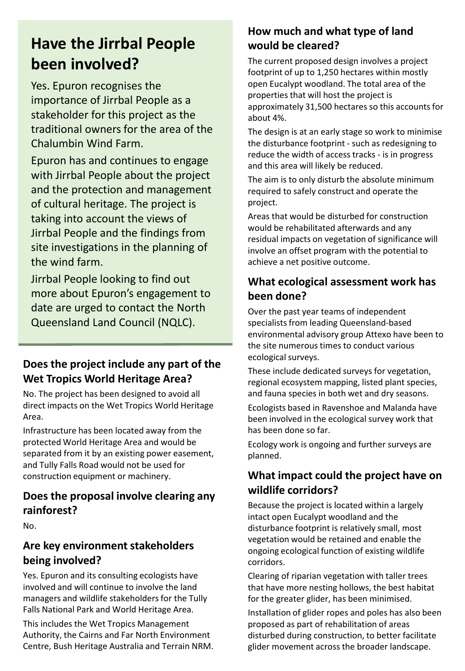# **Have the Jirrbal People been involved?**

Yes. Epuron recognises the importance of Jirrbal People as a stakeholder for this project as the traditional owners for the area of the Chalumbin Wind Farm.

Epuron has and continues to engage with Jirrbal People about the project and the protection and management of cultural heritage. The project is taking into account the views of Jirrbal People and the findings from site investigations in the planning of the wind farm.

Jirrbal People looking to find out more about Epuron's engagement to date are urged to contact the North Queensland Land Council (NQLC).

#### **Does the project include any part of the Wet Tropics World Heritage Area?**

No. The project has been designed to avoid all direct impacts on the Wet Tropics World Heritage Area.

Infrastructure has been located away from the protected World Heritage Area and would be separated from it by an existing power easement, and Tully Falls Road would not be used for construction equipment or machinery.

#### **Does the proposal involve clearing any rainforest?**

No.

#### **Are key environment stakeholders being involved?**

Yes. Epuron and its consulting ecologists have involved and will continue to involve the land managers and wildlife stakeholders for the Tully Falls National Park and World Heritage Area.

This includes the Wet Tropics Management Authority, the Cairns and Far North Environment Centre, Bush Heritage Australia and Terrain NRM.

#### **How much and what type of land would be cleared?**

The current proposed design involves a project footprint of up to 1,250 hectares within mostly open Eucalypt woodland. The total area of the properties that will host the project is approximately 31,500 hectares so this accounts for about 4%.

The design is at an early stage so work to minimise the disturbance footprint - such as redesigning to reduce the width of access tracks - is in progress and this area will likely be reduced.

The aim is to only disturb the absolute minimum required to safely construct and operate the project.

Areas that would be disturbed for construction would be rehabilitated afterwards and any residual impacts on vegetation of significance will involve an offset program with the potential to achieve a net positive outcome.

#### **What ecological assessment work has been done?**

Over the past year teams of independent specialists from leading Queensland-based environmental advisory group Attexo have been to the site numerous times to conduct various ecological surveys.

These include dedicated surveys for vegetation, regional ecosystem mapping, listed plant species, and fauna species in both wet and dry seasons.

Ecologists based in Ravenshoe and Malanda have been involved in the ecological survey work that has been done so far.

Ecology work is ongoing and further surveys are planned.

#### **What impact could the project have on wildlife corridors?**

Because the project is located within a largely intact open Eucalypt woodland and the disturbance footprint is relatively small, most vegetation would be retained and enable the ongoing ecological function of existing wildlife corridors.

Clearing of riparian vegetation with taller trees that have more nesting hollows, the best habitat for the greater glider, has been minimised.

Installation of glider ropes and poles has also been proposed as part of rehabilitation of areas disturbed during construction, to better facilitate glider movement across the broader landscape.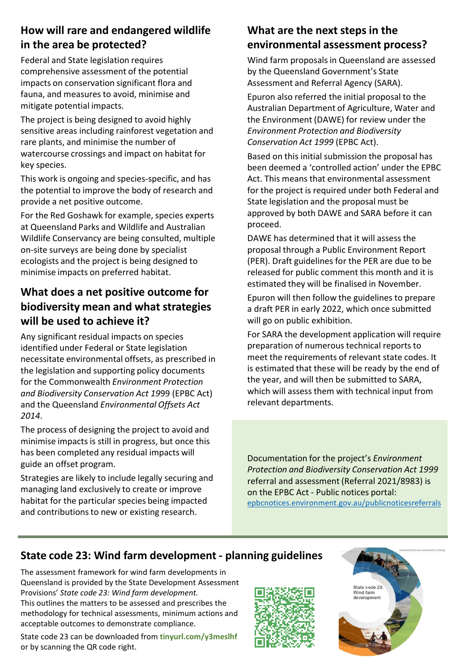#### **How will rare and endangered wildlife in the area be protected?**

Federal and State legislation requires comprehensive assessment of the potential impacts on conservation significant flora and fauna, and measures to avoid, minimise and mitigate potential impacts.

The project is being designed to avoid highly sensitive areas including rainforest vegetation and rare plants, and minimise the number of watercourse crossings and impact on habitat for key species.

This work is ongoing and species-specific, and has the potential to improve the body of research and provide a net positive outcome.

For the Red Goshawk for example, species experts at Queensland Parks and Wildlife and Australian Wildlife Conservancy are being consulted, multiple on-site surveys are being done by specialist ecologists and the project is being designed to minimise impacts on preferred habitat.

#### **What does a net positive outcome for biodiversity mean and what strategies will be used to achieve it?**

Any significant residual impacts on species identified under Federal or State legislation necessitate environmental offsets, as prescribed in the legislation and supporting policy documents for the Commonwealth *Environment Protection and Biodiversity Conservation Act 19*99 (EPBC Act) and the Queensland *Environmental Offsets Act 2014*.

The process of designing the project to avoid and minimise impacts is still in progress, but once this has been completed any residual impacts will guide an offset program.

Strategies are likely to include legally securing and managing land exclusively to create or improve habitat for the particular species being impacted and contributions to new or existing research.

## **What are the next steps in the environmental assessment process?**

Wind farm proposals in Queensland are assessed by the Queensland Government's State Assessment and Referral Agency (SARA).

Epuron also referred the initial proposal to the Australian Department of Agriculture, Water and the Environment (DAWE) for review under the *Environment Protection and Biodiversity Conservation Act 1999* (EPBC Act).

Based on this initial submission the proposal has been deemed a 'controlled action' under the EPBC Act. This means that environmental assessment for the project is required under both Federal and State legislation and the proposal must be approved by both DAWE and SARA before it can proceed.

DAWE has determined that it will assess the proposal through a Public Environment Report (PER). Draft guidelines for the PER are due to be released for public comment this month and it is estimated they will be finalised in November.

Epuron will then follow the guidelines to prepare a draft PER in early 2022, which once submitted will go on public exhibition.

For SARA the development application will require preparation of numerous technical reports to meet the requirements of relevant state codes. It is estimated that these will be ready by the end of the year, and will then be submitted to SARA, which will assess them with technical input from relevant departments.

Documentation for the project's *Environment Protection and Biodiversity Conservation Act 1999*  referral and assessment (Referral 2021/8983) is on the EPBC Act - Public notices portal: epbcnotices.environment.gov.au/publicnoticesreferrals

### **State code 23: Wind farm development - planning guidelines**

The assessment framework for wind farm developments in Queensland is provided by the State Development Assessment Provisions' *State code 23: Wind farm development.*  This outlines the matters to be assessed and prescribes the methodology for technical assessments, minimum actions and acceptable outcomes to demonstrate compliance.

State code 23 can be downloaded from **tinyurl.com/y3meslhf**  or by scanning the QR code right.